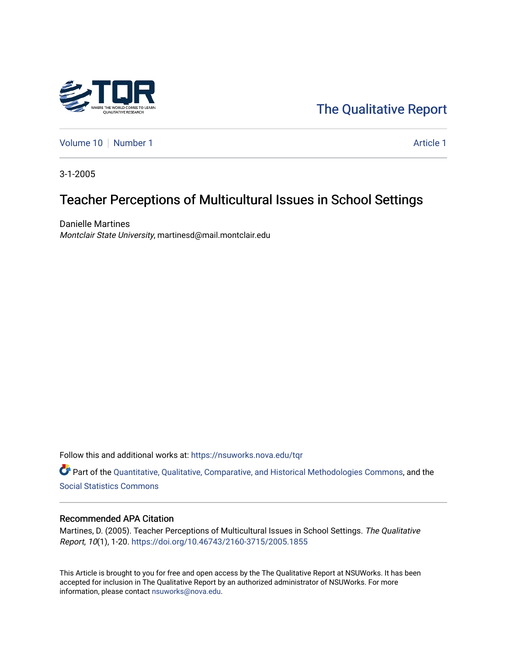

[The Qualitative Report](https://nsuworks.nova.edu/tqr) 

[Volume 10](https://nsuworks.nova.edu/tqr/vol10) [Number 1](https://nsuworks.nova.edu/tqr/vol10/iss1) Article 1

3-1-2005

# Teacher Perceptions of Multicultural Issues in School Settings

Danielle Martines Montclair State University, martinesd@mail.montclair.edu

Follow this and additional works at: [https://nsuworks.nova.edu/tqr](https://nsuworks.nova.edu/tqr?utm_source=nsuworks.nova.edu%2Ftqr%2Fvol10%2Fiss1%2F1&utm_medium=PDF&utm_campaign=PDFCoverPages) 

Part of the [Quantitative, Qualitative, Comparative, and Historical Methodologies Commons,](http://network.bepress.com/hgg/discipline/423?utm_source=nsuworks.nova.edu%2Ftqr%2Fvol10%2Fiss1%2F1&utm_medium=PDF&utm_campaign=PDFCoverPages) and the [Social Statistics Commons](http://network.bepress.com/hgg/discipline/1275?utm_source=nsuworks.nova.edu%2Ftqr%2Fvol10%2Fiss1%2F1&utm_medium=PDF&utm_campaign=PDFCoverPages) 

#### Recommended APA Citation

Martines, D. (2005). Teacher Perceptions of Multicultural Issues in School Settings. The Qualitative Report, 10(1), 1-20. <https://doi.org/10.46743/2160-3715/2005.1855>

This Article is brought to you for free and open access by the The Qualitative Report at NSUWorks. It has been accepted for inclusion in The Qualitative Report by an authorized administrator of NSUWorks. For more information, please contact [nsuworks@nova.edu.](mailto:nsuworks@nova.edu)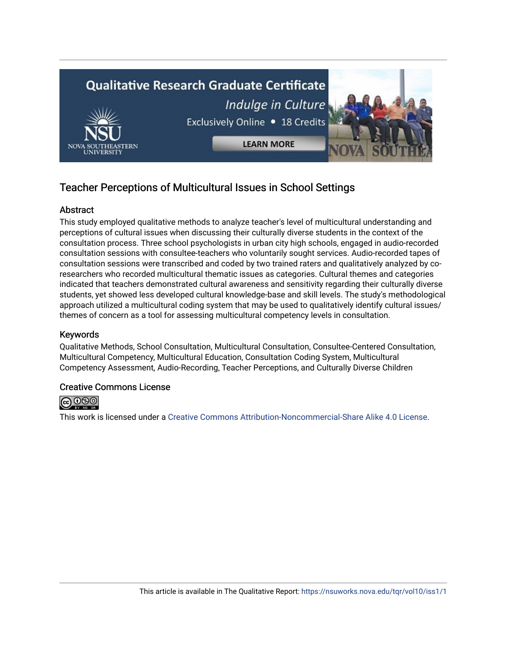

# Teacher Perceptions of Multicultural Issues in School Settings

## Abstract

This study employed qualitative methods to analyze teacher's level of multicultural understanding and perceptions of cultural issues when discussing their culturally diverse students in the context of the consultation process. Three school psychologists in urban city high schools, engaged in audio-recorded consultation sessions with consultee-teachers who voluntarily sought services. Audio-recorded tapes of consultation sessions were transcribed and coded by two trained raters and qualitatively analyzed by coresearchers who recorded multicultural thematic issues as categories. Cultural themes and categories indicated that teachers demonstrated cultural awareness and sensitivity regarding their culturally diverse students, yet showed less developed cultural knowledge-base and skill levels. The study's methodological approach utilized a multicultural coding system that may be used to qualitatively identify cultural issues/ themes of concern as a tool for assessing multicultural competency levels in consultation.

# Keywords

Qualitative Methods, School Consultation, Multicultural Consultation, Consultee-Centered Consultation, Multicultural Competency, Multicultural Education, Consultation Coding System, Multicultural Competency Assessment, Audio-Recording, Teacher Perceptions, and Culturally Diverse Children

### Creative Commons License



This work is licensed under a [Creative Commons Attribution-Noncommercial-Share Alike 4.0 License](https://creativecommons.org/licenses/by-nc-sa/4.0/).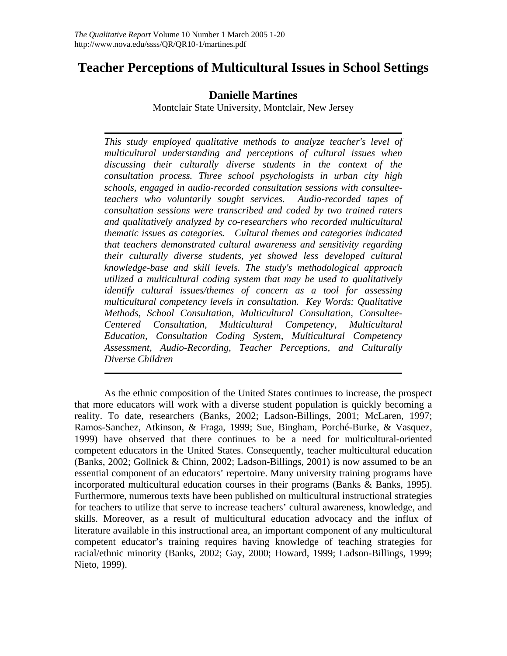# **Teacher Perceptions of Multicultural Issues in School Settings**

# **Danielle Martines**

Montclair State University, Montclair, New Jersey

*This study employed qualitative methods to analyze teacher's level of multicultural understanding and perceptions of cultural issues when discussing their culturally diverse students in the context of the consultation process. Three school psychologists in urban city high schools, engaged in audio-recorded consultation sessions with consulteeteachers who voluntarily sought services. Audio-recorded tapes of consultation sessions were transcribed and coded by two trained raters and qualitatively analyzed by co-researchers who recorded multicultural thematic issues as categories. Cultural themes and categories indicated that teachers demonstrated cultural awareness and sensitivity regarding their culturally diverse students, yet showed less developed cultural knowledge-base and skill levels. The study's methodological approach utilized a multicultural coding system that may be used to qualitatively identify cultural issues/themes of concern as a tool for assessing multicultural competency levels in consultation. Key Words: Qualitative Methods, School Consultation, Multicultural Consultation, Consultee-Centered Consultation, Multicultural Competency, Multicultural Education, Consultation Coding System, Multicultural Competency Assessment, Audio-Recording, Teacher Perceptions, and Culturally Diverse Children* 

As the ethnic composition of the United States continues to increase, the prospect that more educators will work with a diverse student population is quickly becoming a reality. To date, researchers (Banks, 2002; Ladson-Billings, 2001; McLaren, 1997; Ramos-Sanchez, Atkinson, & Fraga, 1999; Sue, Bingham, Porché-Burke, & Vasquez, 1999) have observed that there continues to be a need for multicultural-oriented competent educators in the United States. Consequently, teacher multicultural education (Banks, 2002; Gollnick & Chinn, 2002; Ladson-Billings, 2001) is now assumed to be an essential component of an educators' repertoire. Many university training programs have incorporated multicultural education courses in their programs (Banks & Banks, 1995). Furthermore, numerous texts have been published on multicultural instructional strategies for teachers to utilize that serve to increase teachers' cultural awareness, knowledge, and skills. Moreover, as a result of multicultural education advocacy and the influx of literature available in this instructional area, an important component of any multicultural competent educator's training requires having knowledge of teaching strategies for racial/ethnic minority (Banks, 2002; Gay, 2000; Howard, 1999; Ladson-Billings, 1999; Nieto, 1999).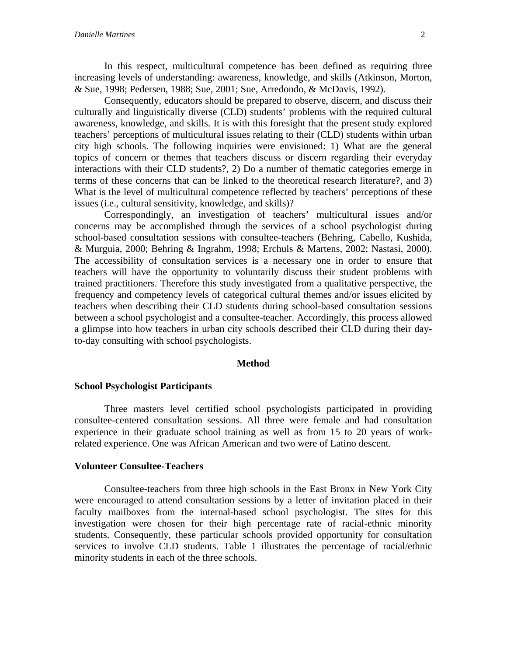In this respect, multicultural competence has been defined as requiring three increasing levels of understanding: awareness, knowledge, and skills (Atkinson, Morton, & Sue, 1998; Pedersen, 1988; Sue, 2001; Sue, Arredondo, & McDavis, 1992).

Consequently, educators should be prepared to observe, discern, and discuss their culturally and linguistically diverse (CLD) students' problems with the required cultural awareness, knowledge, and skills. It is with this foresight that the present study explored teachers' perceptions of multicultural issues relating to their (CLD) students within urban city high schools. The following inquiries were envisioned: 1) What are the general topics of concern or themes that teachers discuss or discern regarding their everyday interactions with their CLD students?, 2) Do a number of thematic categories emerge in terms of these concerns that can be linked to the theoretical research literature?, and 3) What is the level of multicultural competence reflected by teachers' perceptions of these issues (i.e., cultural sensitivity, knowledge, and skills)?

Correspondingly, an investigation of teachers' multicultural issues and/or concerns may be accomplished through the services of a school psychologist during school-based consultation sessions with consultee-teachers (Behring, Cabello, Kushida, & Murguia, 2000; Behring & Ingrahm, 1998; Erchuls & Martens, 2002; Nastasi, 2000). The accessibility of consultation services is a necessary one in order to ensure that teachers will have the opportunity to voluntarily discuss their student problems with trained practitioners. Therefore this study investigated from a qualitative perspective, the frequency and competency levels of categorical cultural themes and/or issues elicited by teachers when describing their CLD students during school-based consultation sessions between a school psychologist and a consultee-teacher. Accordingly, this process allowed a glimpse into how teachers in urban city schools described their CLD during their dayto-day consulting with school psychologists.

#### **Method**

#### **School Psychologist Participants**

Three masters level certified school psychologists participated in providing consultee-centered consultation sessions. All three were female and had consultation experience in their graduate school training as well as from 15 to 20 years of workrelated experience. One was African American and two were of Latino descent.

#### **Volunteer Consultee-Teachers**

Consultee-teachers from three high schools in the East Bronx in New York City were encouraged to attend consultation sessions by a letter of invitation placed in their faculty mailboxes from the internal-based school psychologist. The sites for this investigation were chosen for their high percentage rate of racial-ethnic minority students. Consequently, these particular schools provided opportunity for consultation services to involve CLD students. Table 1 illustrates the percentage of racial/ethnic minority students in each of the three schools.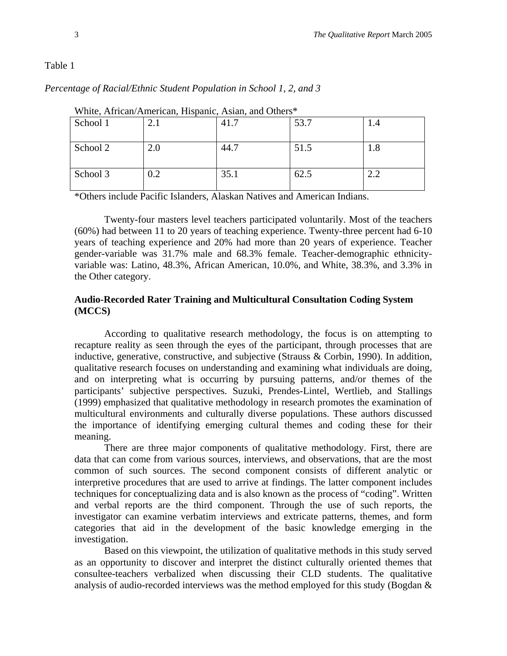*Percentage of Racial/Ethnic Student Population in School 1, 2, and 3* 

| winte, Attitually Attituditually, Thispathle, Assiant, and Outlets |     |      |      |     |
|--------------------------------------------------------------------|-----|------|------|-----|
| School 1                                                           |     | 41.7 | 53.7 | 1.4 |
| School 2                                                           | 2.0 | 44.7 | 51.5 | 1.8 |
| School 3                                                           | 0.2 | 35.1 | 62.5 | 2.2 |

White, African/American, Hispanic, Asian, and Others\*

\*Others include Pacific Islanders, Alaskan Natives and American Indians.

Twenty-four masters level teachers participated voluntarily. Most of the teachers (60%) had between 11 to 20 years of teaching experience. Twenty-three percent had 6-10 years of teaching experience and 20% had more than 20 years of experience. Teacher gender-variable was 31.7% male and 68.3% female. Teacher-demographic ethnicityvariable was: Latino, 48.3%, African American, 10.0%, and White, 38.3%, and 3.3% in the Other category.

### **Audio-Recorded Rater Training and Multicultural Consultation Coding System (MCCS)**

According to qualitative research methodology, the focus is on attempting to recapture reality as seen through the eyes of the participant, through processes that are inductive, generative, constructive, and subjective (Strauss & Corbin, 1990). In addition, qualitative research focuses on understanding and examining what individuals are doing, and on interpreting what is occurring by pursuing patterns, and/or themes of the participants' subjective perspectives. Suzuki, Prendes-Lintel, Wertlieb, and Stallings (1999) emphasized that qualitative methodology in research promotes the examination of multicultural environments and culturally diverse populations. These authors discussed the importance of identifying emerging cultural themes and coding these for their meaning.

There are three major components of qualitative methodology. First, there are data that can come from various sources, interviews, and observations, that are the most common of such sources. The second component consists of different analytic or interpretive procedures that are used to arrive at findings. The latter component includes techniques for conceptualizing data and is also known as the process of "coding". Written and verbal reports are the third component. Through the use of such reports, the investigator can examine verbatim interviews and extricate patterns, themes, and form categories that aid in the development of the basic knowledge emerging in the investigation.

Based on this viewpoint, the utilization of qualitative methods in this study served as an opportunity to discover and interpret the distinct culturally oriented themes that consultee-teachers verbalized when discussing their CLD students. The qualitative analysis of audio-recorded interviews was the method employed for this study (Bogdan &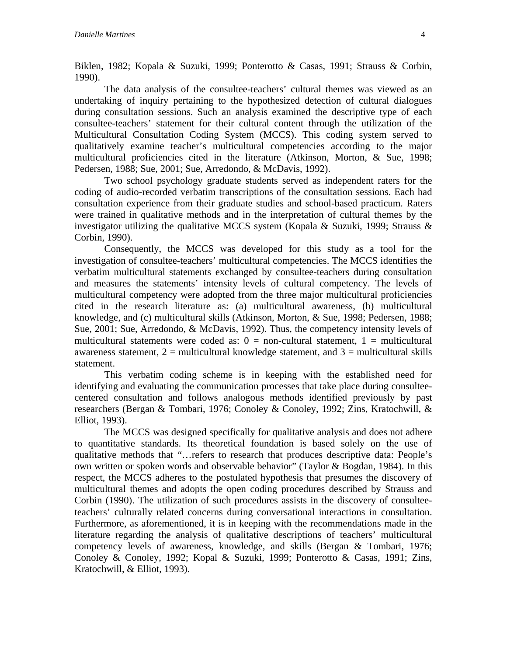Biklen, 1982; Kopala & Suzuki, 1999; Ponterotto & Casas, 1991; Strauss & Corbin, 1990).

The data analysis of the consultee-teachers' cultural themes was viewed as an undertaking of inquiry pertaining to the hypothesized detection of cultural dialogues during consultation sessions. Such an analysis examined the descriptive type of each consultee-teachers' statement for their cultural content through the utilization of the Multicultural Consultation Coding System (MCCS). This coding system served to qualitatively examine teacher's multicultural competencies according to the major multicultural proficiencies cited in the literature (Atkinson, Morton, & Sue, 1998; Pedersen, 1988; Sue, 2001; Sue, Arredondo, & McDavis, 1992).

Two school psychology graduate students served as independent raters for the coding of audio-recorded verbatim transcriptions of the consultation sessions. Each had consultation experience from their graduate studies and school-based practicum. Raters were trained in qualitative methods and in the interpretation of cultural themes by the investigator utilizing the qualitative MCCS system (Kopala & Suzuki, 1999; Strauss & Corbin, 1990).

Consequently, the MCCS was developed for this study as a tool for the investigation of consultee-teachers' multicultural competencies. The MCCS identifies the verbatim multicultural statements exchanged by consultee-teachers during consultation and measures the statements' intensity levels of cultural competency. The levels of multicultural competency were adopted from the three major multicultural proficiencies cited in the research literature as: (a) multicultural awareness, (b) multicultural knowledge, and (c) multicultural skills (Atkinson, Morton, & Sue, 1998; Pedersen, 1988; Sue, 2001; Sue, Arredondo, & McDavis, 1992). Thus, the competency intensity levels of multicultural statements were coded as:  $0 =$  non-cultural statement,  $1 =$  multicultural awareness statement,  $2 =$  multicultural knowledge statement, and  $3 =$  multicultural skills statement.

This verbatim coding scheme is in keeping with the established need for identifying and evaluating the communication processes that take place during consulteecentered consultation and follows analogous methods identified previously by past researchers (Bergan & Tombari, 1976; Conoley & Conoley, 1992; Zins, Kratochwill, & Elliot, 1993).

The MCCS was designed specifically for qualitative analysis and does not adhere to quantitative standards. Its theoretical foundation is based solely on the use of qualitative methods that "…refers to research that produces descriptive data: People's own written or spoken words and observable behavior" (Taylor & Bogdan, 1984). In this respect, the MCCS adheres to the postulated hypothesis that presumes the discovery of multicultural themes and adopts the open coding procedures described by Strauss and Corbin (1990). The utilization of such procedures assists in the discovery of consulteeteachers' culturally related concerns during conversational interactions in consultation. Furthermore, as aforementioned, it is in keeping with the recommendations made in the literature regarding the analysis of qualitative descriptions of teachers' multicultural competency levels of awareness, knowledge, and skills (Bergan & Tombari, 1976; Conoley & Conoley, 1992; Kopal & Suzuki, 1999; Ponterotto & Casas, 1991; Zins, Kratochwill, & Elliot, 1993).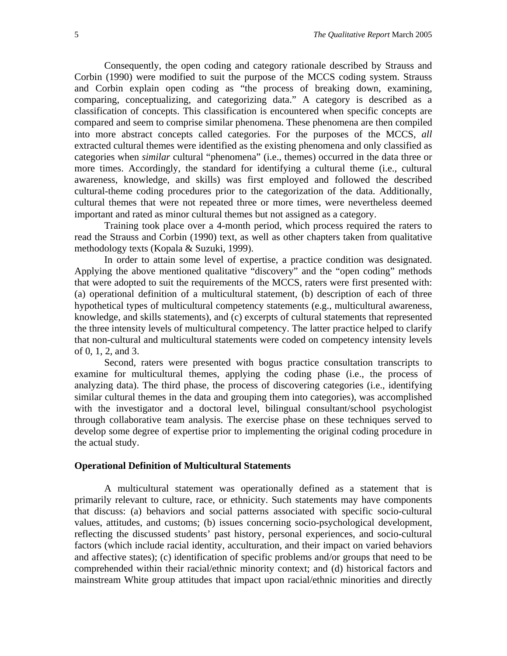Consequently, the open coding and category rationale described by Strauss and Corbin (1990) were modified to suit the purpose of the MCCS coding system. Strauss and Corbin explain open coding as "the process of breaking down, examining, comparing, conceptualizing, and categorizing data." A category is described as a classification of concepts. This classification is encountered when specific concepts are compared and seem to comprise similar phenomena. These phenomena are then compiled into more abstract concepts called categories. For the purposes of the MCCS, *all* extracted cultural themes were identified as the existing phenomena and only classified as categories when *similar* cultural "phenomena" (i.e., themes) occurred in the data three or more times. Accordingly, the standard for identifying a cultural theme (i.e., cultural awareness, knowledge, and skills) was first employed and followed the described cultural-theme coding procedures prior to the categorization of the data. Additionally, cultural themes that were not repeated three or more times, were nevertheless deemed important and rated as minor cultural themes but not assigned as a category.

Training took place over a 4-month period, which process required the raters to read the Strauss and Corbin (1990) text, as well as other chapters taken from qualitative methodology texts (Kopala & Suzuki, 1999).

In order to attain some level of expertise, a practice condition was designated. Applying the above mentioned qualitative "discovery" and the "open coding" methods that were adopted to suit the requirements of the MCCS, raters were first presented with: (a) operational definition of a multicultural statement, (b) description of each of three hypothetical types of multicultural competency statements (e.g., multicultural awareness, knowledge, and skills statements), and (c) excerpts of cultural statements that represented the three intensity levels of multicultural competency. The latter practice helped to clarify that non-cultural and multicultural statements were coded on competency intensity levels of 0, 1, 2, and 3.

Second, raters were presented with bogus practice consultation transcripts to examine for multicultural themes, applying the coding phase (i.e., the process of analyzing data). The third phase, the process of discovering categories (i.e., identifying similar cultural themes in the data and grouping them into categories), was accomplished with the investigator and a doctoral level, bilingual consultant/school psychologist through collaborative team analysis. The exercise phase on these techniques served to develop some degree of expertise prior to implementing the original coding procedure in the actual study.

#### **Operational Definition of Multicultural Statements**

A multicultural statement was operationally defined as a statement that is primarily relevant to culture, race, or ethnicity. Such statements may have components that discuss: (a) behaviors and social patterns associated with specific socio-cultural values, attitudes, and customs; (b) issues concerning socio-psychological development, reflecting the discussed students' past history, personal experiences, and socio-cultural factors (which include racial identity, acculturation, and their impact on varied behaviors and affective states); (c) identification of specific problems and/or groups that need to be comprehended within their racial/ethnic minority context; and (d) historical factors and mainstream White group attitudes that impact upon racial/ethnic minorities and directly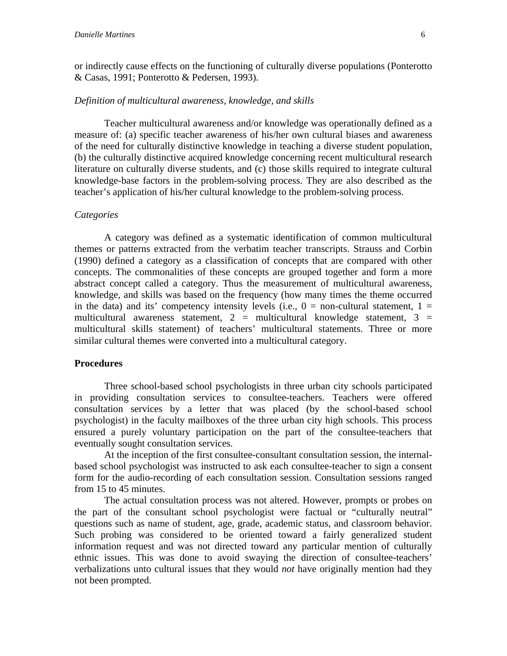or indirectly cause effects on the functioning of culturally diverse populations (Ponterotto & Casas, 1991; Ponterotto & Pedersen, 1993).

#### *Definition of multicultural awareness, knowledge, and skills*

Teacher multicultural awareness and/or knowledge was operationally defined as a measure of: (a) specific teacher awareness of his/her own cultural biases and awareness of the need for culturally distinctive knowledge in teaching a diverse student population, (b) the culturally distinctive acquired knowledge concerning recent multicultural research literature on culturally diverse students, and (c) those skills required to integrate cultural knowledge-base factors in the problem-solving process. They are also described as the teacher's application of his/her cultural knowledge to the problem-solving process.

#### *Categories*

A category was defined as a systematic identification of common multicultural themes or patterns extracted from the verbatim teacher transcripts. Strauss and Corbin (1990) defined a category as a classification of concepts that are compared with other concepts. The commonalities of these concepts are grouped together and form a more abstract concept called a category. Thus the measurement of multicultural awareness, knowledge, and skills was based on the frequency (how many times the theme occurred in the data) and its' competency intensity levels (i.e.,  $0 =$  non-cultural statement,  $1 =$ multicultural awareness statement,  $2 =$  multicultural knowledge statement,  $3 =$ multicultural skills statement) of teachers' multicultural statements. Three or more similar cultural themes were converted into a multicultural category.

#### **Procedures**

Three school-based school psychologists in three urban city schools participated in providing consultation services to consultee-teachers. Teachers were offered consultation services by a letter that was placed (by the school-based school psychologist) in the faculty mailboxes of the three urban city high schools. This process ensured a purely voluntary participation on the part of the consultee-teachers that eventually sought consultation services.

At the inception of the first consultee-consultant consultation session, the internalbased school psychologist was instructed to ask each consultee-teacher to sign a consent form for the audio-recording of each consultation session. Consultation sessions ranged from 15 to 45 minutes.

The actual consultation process was not altered. However, prompts or probes on the part of the consultant school psychologist were factual or "culturally neutral" questions such as name of student, age, grade, academic status, and classroom behavior. Such probing was considered to be oriented toward a fairly generalized student information request and was not directed toward any particular mention of culturally ethnic issues. This was done to avoid swaying the direction of consultee-teachers' verbalizations unto cultural issues that they would *not* have originally mention had they not been prompted.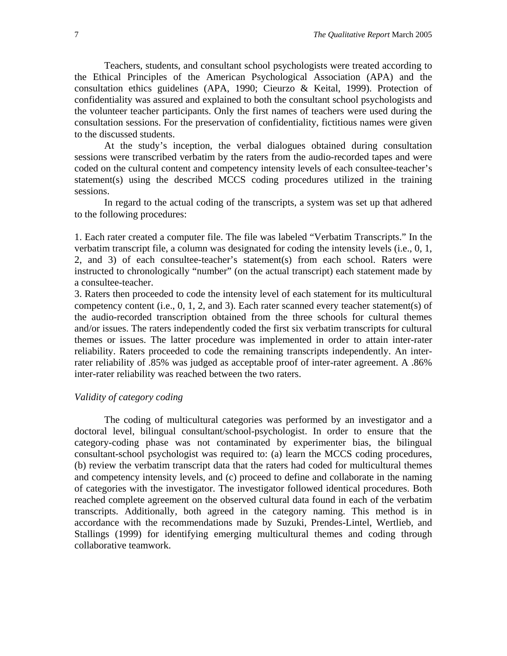Teachers, students, and consultant school psychologists were treated according to the Ethical Principles of the American Psychological Association (APA) and the consultation ethics guidelines (APA, 1990; Cieurzo & Keital, 1999). Protection of confidentiality was assured and explained to both the consultant school psychologists and the volunteer teacher participants. Only the first names of teachers were used during the consultation sessions. For the preservation of confidentiality, fictitious names were given to the discussed students.

At the study's inception, the verbal dialogues obtained during consultation sessions were transcribed verbatim by the raters from the audio-recorded tapes and were coded on the cultural content and competency intensity levels of each consultee-teacher's statement(s) using the described MCCS coding procedures utilized in the training sessions.

In regard to the actual coding of the transcripts, a system was set up that adhered to the following procedures:

1. Each rater created a computer file. The file was labeled "Verbatim Transcripts." In the verbatim transcript file, a column was designated for coding the intensity levels (i.e., 0, 1, 2, and 3) of each consultee-teacher's statement(s) from each school. Raters were instructed to chronologically "number" (on the actual transcript) each statement made by a consultee-teacher.

3. Raters then proceeded to code the intensity level of each statement for its multicultural competency content (i.e., 0, 1, 2, and 3). Each rater scanned every teacher statement(s) of the audio-recorded transcription obtained from the three schools for cultural themes and/or issues. The raters independently coded the first six verbatim transcripts for cultural themes or issues. The latter procedure was implemented in order to attain inter-rater reliability. Raters proceeded to code the remaining transcripts independently. An interrater reliability of .85% was judged as acceptable proof of inter-rater agreement. A .86% inter-rater reliability was reached between the two raters.

#### *Validity of category coding*

The coding of multicultural categories was performed by an investigator and a doctoral level, bilingual consultant/school-psychologist. In order to ensure that the category-coding phase was not contaminated by experimenter bias, the bilingual consultant-school psychologist was required to: (a) learn the MCCS coding procedures, (b) review the verbatim transcript data that the raters had coded for multicultural themes and competency intensity levels, and (c) proceed to define and collaborate in the naming of categories with the investigator. The investigator followed identical procedures. Both reached complete agreement on the observed cultural data found in each of the verbatim transcripts. Additionally, both agreed in the category naming. This method is in accordance with the recommendations made by Suzuki, Prendes-Lintel, Wertlieb, and Stallings (1999) for identifying emerging multicultural themes and coding through collaborative teamwork.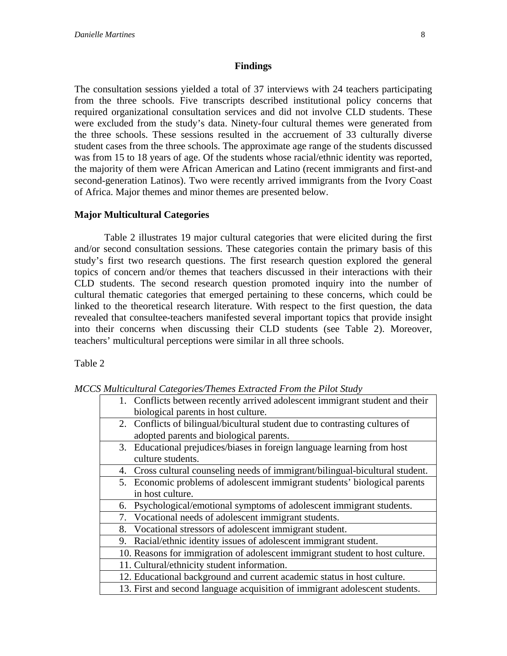#### **Findings**

The consultation sessions yielded a total of 37 interviews with 24 teachers participating from the three schools. Five transcripts described institutional policy concerns that required organizational consultation services and did not involve CLD students. These were excluded from the study's data. Ninety-four cultural themes were generated from the three schools. These sessions resulted in the accruement of 33 culturally diverse student cases from the three schools. The approximate age range of the students discussed was from 15 to 18 years of age. Of the students whose racial/ethnic identity was reported, the majority of them were African American and Latino (recent immigrants and first-and second-generation Latinos). Two were recently arrived immigrants from the Ivory Coast of Africa. Major themes and minor themes are presented below.

### **Major Multicultural Categories**

Table 2 illustrates 19 major cultural categories that were elicited during the first and/or second consultation sessions. These categories contain the primary basis of this study's first two research questions. The first research question explored the general topics of concern and/or themes that teachers discussed in their interactions with their CLD students. The second research question promoted inquiry into the number of cultural thematic categories that emerged pertaining to these concerns, which could be linked to the theoretical research literature. With respect to the first question, the data revealed that consultee-teachers manifested several important topics that provide insight into their concerns when discussing their CLD students (see Table 2). Moreover, teachers' multicultural perceptions were similar in all three schools.

Table 2

*MCCS Multicultural Categories/Themes Extracted From the Pilot Study* 

| mandana al-Calegories/Themes Extracted I rom the I tion state,                |  |  |
|-------------------------------------------------------------------------------|--|--|
| 1. Conflicts between recently arrived adolescent immigrant student and their  |  |  |
| biological parents in host culture.                                           |  |  |
| 2. Conflicts of bilingual/bicultural student due to contrasting cultures of   |  |  |
| adopted parents and biological parents.                                       |  |  |
| 3. Educational prejudices/biases in foreign language learning from host       |  |  |
| culture students.                                                             |  |  |
| 4. Cross cultural counseling needs of immigrant/bilingual-bicultural student. |  |  |
| 5. Economic problems of adolescent immigrant students' biological parents     |  |  |
| in host culture.                                                              |  |  |
| Psychological/emotional symptoms of adolescent immigrant students.<br>6.      |  |  |
| 7. Vocational needs of adolescent immigrant students.                         |  |  |
| 8. Vocational stressors of adolescent immigrant student.                      |  |  |
| 9. Racial/ethnic identity issues of adolescent immigrant student.             |  |  |
| 10. Reasons for immigration of adolescent immigrant student to host culture.  |  |  |
| 11. Cultural/ethnicity student information.                                   |  |  |
| 12. Educational background and current academic status in host culture.       |  |  |
| 13. First and second language acquisition of immigrant adolescent students.   |  |  |
|                                                                               |  |  |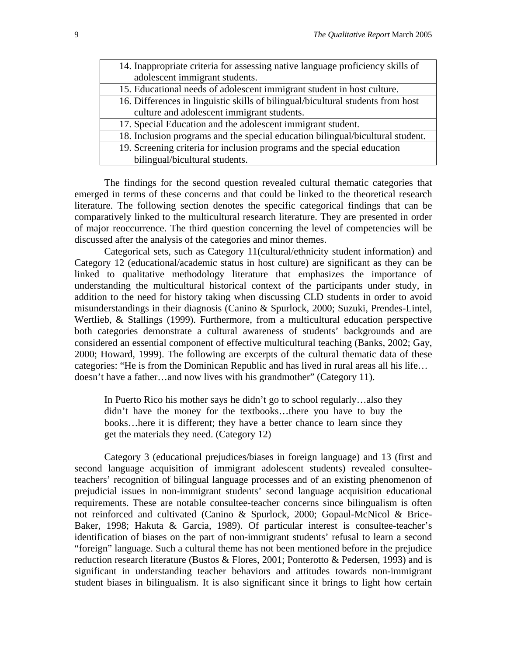| 14. Inappropriate criteria for assessing native language proficiency skills of  |  |
|---------------------------------------------------------------------------------|--|
| adolescent immigrant students.                                                  |  |
| 15. Educational needs of adolescent immigrant student in host culture.          |  |
| 16. Differences in linguistic skills of bilingual/bicultural students from host |  |
| culture and adolescent immigrant students.                                      |  |
| 17. Special Education and the adolescent immigrant student.                     |  |
| 18. Inclusion programs and the special education bilingual/bicultural student.  |  |
| 19. Screening criteria for inclusion programs and the special education         |  |
| bilingual/bicultural students.                                                  |  |

The findings for the second question revealed cultural thematic categories that emerged in terms of these concerns and that could be linked to the theoretical research literature. The following section denotes the specific categorical findings that can be comparatively linked to the multicultural research literature. They are presented in order of major reoccurrence. The third question concerning the level of competencies will be discussed after the analysis of the categories and minor themes.

Categorical sets, such as Category 11(cultural/ethnicity student information) and Category 12 (educational/academic status in host culture) are significant as they can be linked to qualitative methodology literature that emphasizes the importance of understanding the multicultural historical context of the participants under study, in addition to the need for history taking when discussing CLD students in order to avoid misunderstandings in their diagnosis (Canino & Spurlock, 2000; Suzuki, Prendes-Lintel, Wertlieb, & Stallings (1999). Furthermore, from a multicultural education perspective both categories demonstrate a cultural awareness of students' backgrounds and are considered an essential component of effective multicultural teaching (Banks, 2002; Gay, 2000; Howard, 1999). The following are excerpts of the cultural thematic data of these categories: "He is from the Dominican Republic and has lived in rural areas all his life… doesn't have a father…and now lives with his grandmother" (Category 11).

In Puerto Rico his mother says he didn't go to school regularly…also they didn't have the money for the textbooks…there you have to buy the books…here it is different; they have a better chance to learn since they get the materials they need. (Category 12)

Category 3 (educational prejudices/biases in foreign language) and 13 (first and second language acquisition of immigrant adolescent students) revealed consulteeteachers' recognition of bilingual language processes and of an existing phenomenon of prejudicial issues in non-immigrant students' second language acquisition educational requirements. These are notable consultee-teacher concerns since bilingualism is often not reinforced and cultivated (Canino & Spurlock, 2000; Gopaul-McNicol & Brice-Baker, 1998; Hakuta & Garcia, 1989). Of particular interest is consultee-teacher's identification of biases on the part of non-immigrant students' refusal to learn a second "foreign" language. Such a cultural theme has not been mentioned before in the prejudice reduction research literature (Bustos & Flores, 2001; Ponterotto & Pedersen, 1993) and is significant in understanding teacher behaviors and attitudes towards non-immigrant student biases in bilingualism. It is also significant since it brings to light how certain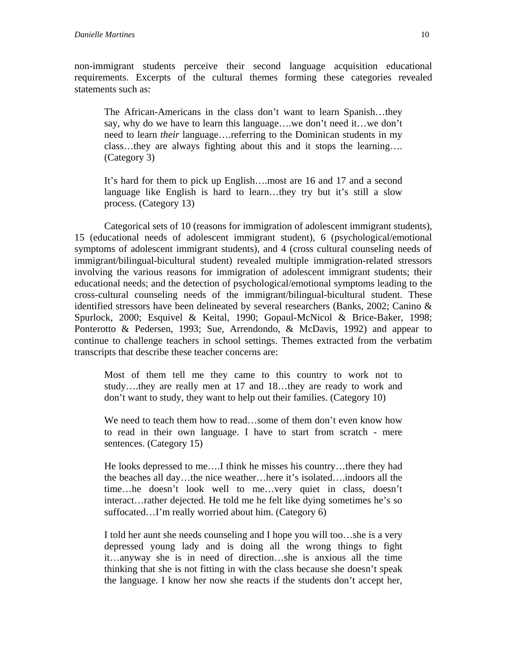The African-Americans in the class don't want to learn Spanish…they say, why do we have to learn this language….we don't need it…we don't need to learn *their* language….referring to the Dominican students in my class…they are always fighting about this and it stops the learning…. (Category 3)

It's hard for them to pick up English….most are 16 and 17 and a second language like English is hard to learn…they try but it's still a slow process. (Category 13)

Categorical sets of 10 (reasons for immigration of adolescent immigrant students), 15 (educational needs of adolescent immigrant student), 6 (psychological/emotional symptoms of adolescent immigrant students), and 4 (cross cultural counseling needs of immigrant/bilingual-bicultural student) revealed multiple immigration-related stressors involving the various reasons for immigration of adolescent immigrant students; their educational needs; and the detection of psychological/emotional symptoms leading to the cross-cultural counseling needs of the immigrant/bilingual-bicultural student. These identified stressors have been delineated by several researchers (Banks, 2002; Canino & Spurlock, 2000; Esquivel & Keital, 1990; Gopaul-McNicol & Brice-Baker, 1998; Ponterotto & Pedersen, 1993; Sue, Arrendondo, & McDavis, 1992) and appear to continue to challenge teachers in school settings. Themes extracted from the verbatim transcripts that describe these teacher concerns are:

Most of them tell me they came to this country to work not to study….they are really men at 17 and 18…they are ready to work and don't want to study, they want to help out their families. (Category 10)

We need to teach them how to read...some of them don't even know how to read in their own language. I have to start from scratch - mere sentences. (Category 15)

He looks depressed to me….I think he misses his country…there they had the beaches all day…the nice weather…here it's isolated….indoors all the time…he doesn't look well to me…very quiet in class, doesn't interact…rather dejected. He told me he felt like dying sometimes he's so suffocated…I'm really worried about him. (Category 6)

I told her aunt she needs counseling and I hope you will too…she is a very depressed young lady and is doing all the wrong things to fight it…anyway she is in need of direction…she is anxious all the time thinking that she is not fitting in with the class because she doesn't speak the language. I know her now she reacts if the students don't accept her,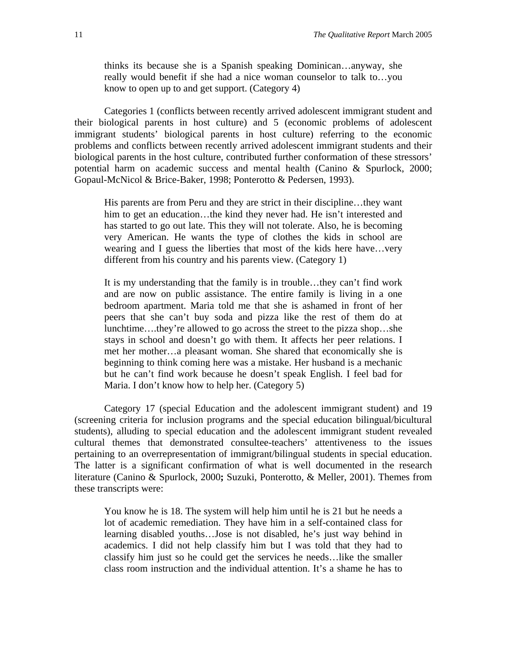thinks its because she is a Spanish speaking Dominican…anyway, she really would benefit if she had a nice woman counselor to talk to…you know to open up to and get support. (Category 4)

Categories 1 (conflicts between recently arrived adolescent immigrant student and their biological parents in host culture) and 5 (economic problems of adolescent immigrant students' biological parents in host culture) referring to the economic problems and conflicts between recently arrived adolescent immigrant students and their biological parents in the host culture, contributed further conformation of these stressors' potential harm on academic success and mental health (Canino & Spurlock, 2000; Gopaul-McNicol & Brice-Baker, 1998; Ponterotto & Pedersen, 1993).

His parents are from Peru and they are strict in their discipline…they want him to get an education...the kind they never had. He isn't interested and has started to go out late. This they will not tolerate. Also, he is becoming very American. He wants the type of clothes the kids in school are wearing and I guess the liberties that most of the kids here have…very different from his country and his parents view. (Category 1)

It is my understanding that the family is in trouble…they can't find work and are now on public assistance. The entire family is living in a one bedroom apartment. Maria told me that she is ashamed in front of her peers that she can't buy soda and pizza like the rest of them do at lunchtime….they're allowed to go across the street to the pizza shop…she stays in school and doesn't go with them. It affects her peer relations. I met her mother…a pleasant woman. She shared that economically she is beginning to think coming here was a mistake. Her husband is a mechanic but he can't find work because he doesn't speak English. I feel bad for Maria. I don't know how to help her. (Category 5)

Category 17 (special Education and the adolescent immigrant student) and 19 (screening criteria for inclusion programs and the special education bilingual/bicultural students), alluding to special education and the adolescent immigrant student revealed cultural themes that demonstrated consultee-teachers' attentiveness to the issues pertaining to an overrepresentation of immigrant/bilingual students in special education. The latter is a significant confirmation of what is well documented in the research literature (Canino & Spurlock, 2000**;** Suzuki, Ponterotto, & Meller, 2001). Themes from these transcripts were:

You know he is 18. The system will help him until he is 21 but he needs a lot of academic remediation. They have him in a self-contained class for learning disabled youths…Jose is not disabled, he's just way behind in academics. I did not help classify him but I was told that they had to classify him just so he could get the services he needs…like the smaller class room instruction and the individual attention. It's a shame he has to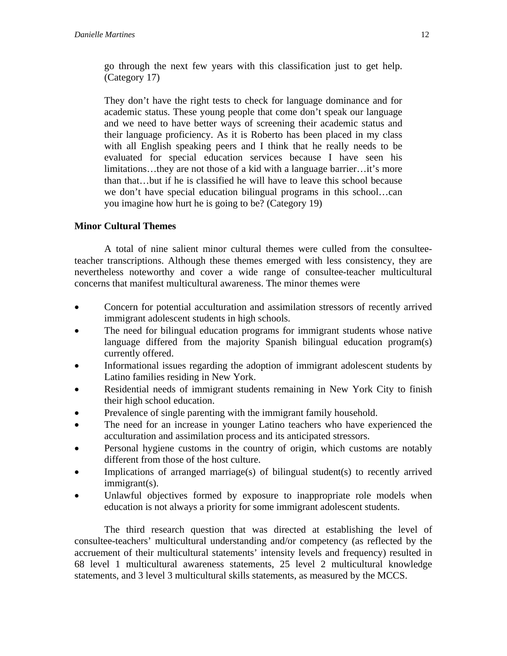go through the next few years with this classification just to get help. (Category 17)

They don't have the right tests to check for language dominance and for academic status. These young people that come don't speak our language and we need to have better ways of screening their academic status and their language proficiency. As it is Roberto has been placed in my class with all English speaking peers and I think that he really needs to be evaluated for special education services because I have seen his limitations…they are not those of a kid with a language barrier…it's more than that…but if he is classified he will have to leave this school because we don't have special education bilingual programs in this school…can you imagine how hurt he is going to be? (Category 19)

## **Minor Cultural Themes**

A total of nine salient minor cultural themes were culled from the consulteeteacher transcriptions. Although these themes emerged with less consistency, they are nevertheless noteworthy and cover a wide range of consultee-teacher multicultural concerns that manifest multicultural awareness. The minor themes were

- Concern for potential acculturation and assimilation stressors of recently arrived immigrant adolescent students in high schools.
- The need for bilingual education programs for immigrant students whose native language differed from the majority Spanish bilingual education program(s) currently offered.
- Informational issues regarding the adoption of immigrant adolescent students by Latino families residing in New York.
- Residential needs of immigrant students remaining in New York City to finish their high school education.
- Prevalence of single parenting with the immigrant family household.
- The need for an increase in younger Latino teachers who have experienced the acculturation and assimilation process and its anticipated stressors.
- Personal hygiene customs in the country of origin, which customs are notably different from those of the host culture.
- Implications of arranged marriage(s) of bilingual student(s) to recently arrived immigrant(s).
- Unlawful objectives formed by exposure to inappropriate role models when education is not always a priority for some immigrant adolescent students.

The third research question that was directed at establishing the level of consultee-teachers' multicultural understanding and/or competency (as reflected by the accruement of their multicultural statements' intensity levels and frequency) resulted in 68 level 1 multicultural awareness statements, 25 level 2 multicultural knowledge statements, and 3 level 3 multicultural skills statements, as measured by the MCCS.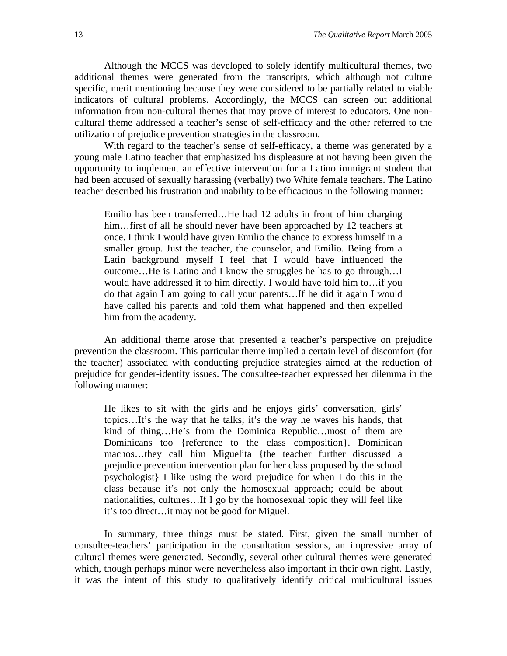Although the MCCS was developed to solely identify multicultural themes, two additional themes were generated from the transcripts, which although not culture specific, merit mentioning because they were considered to be partially related to viable indicators of cultural problems. Accordingly, the MCCS can screen out additional information from non-cultural themes that may prove of interest to educators. One noncultural theme addressed a teacher's sense of self-efficacy and the other referred to the utilization of prejudice prevention strategies in the classroom.

With regard to the teacher's sense of self-efficacy, a theme was generated by a young male Latino teacher that emphasized his displeasure at not having been given the opportunity to implement an effective intervention for a Latino immigrant student that had been accused of sexually harassing (verbally) two White female teachers. The Latino teacher described his frustration and inability to be efficacious in the following manner:

Emilio has been transferred…He had 12 adults in front of him charging him...first of all he should never have been approached by 12 teachers at once. I think I would have given Emilio the chance to express himself in a smaller group. Just the teacher, the counselor, and Emilio. Being from a Latin background myself I feel that I would have influenced the outcome…He is Latino and I know the struggles he has to go through…I would have addressed it to him directly. I would have told him to…if you do that again I am going to call your parents…If he did it again I would have called his parents and told them what happened and then expelled him from the academy.

An additional theme arose that presented a teacher's perspective on prejudice prevention the classroom. This particular theme implied a certain level of discomfort (for the teacher) associated with conducting prejudice strategies aimed at the reduction of prejudice for gender-identity issues. The consultee-teacher expressed her dilemma in the following manner:

He likes to sit with the girls and he enjoys girls' conversation, girls' topics…It's the way that he talks; it's the way he waves his hands, that kind of thing…He's from the Dominica Republic…most of them are Dominicans too {reference to the class composition}. Dominican machos…they call him Miguelita {the teacher further discussed a prejudice prevention intervention plan for her class proposed by the school psychologist} I like using the word prejudice for when I do this in the class because it's not only the homosexual approach; could be about nationalities, cultures…If I go by the homosexual topic they will feel like it's too direct…it may not be good for Miguel.

In summary, three things must be stated. First, given the small number of consultee-teachers' participation in the consultation sessions, an impressive array of cultural themes were generated. Secondly, several other cultural themes were generated which, though perhaps minor were nevertheless also important in their own right. Lastly, it was the intent of this study to qualitatively identify critical multicultural issues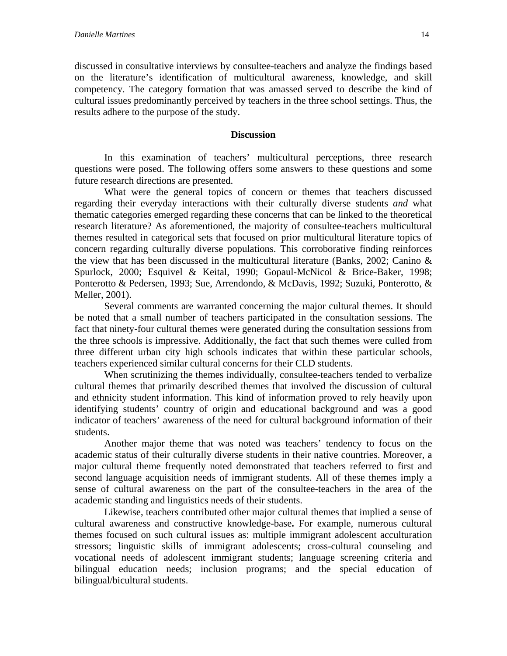discussed in consultative interviews by consultee-teachers and analyze the findings based on the literature's identification of multicultural awareness, knowledge, and skill competency. The category formation that was amassed served to describe the kind of cultural issues predominantly perceived by teachers in the three school settings. Thus, the results adhere to the purpose of the study.

#### **Discussion**

In this examination of teachers' multicultural perceptions, three research questions were posed. The following offers some answers to these questions and some future research directions are presented.

What were the general topics of concern or themes that teachers discussed regarding their everyday interactions with their culturally diverse students *and* what thematic categories emerged regarding these concerns that can be linked to the theoretical research literature? As aforementioned, the majority of consultee-teachers multicultural themes resulted in categorical sets that focused on prior multicultural literature topics of concern regarding culturally diverse populations. This corroborative finding reinforces the view that has been discussed in the multicultural literature (Banks, 2002; Canino  $\&$ Spurlock, 2000; Esquivel & Keital, 1990; Gopaul-McNicol & Brice-Baker, 1998; Ponterotto & Pedersen, 1993; Sue, Arrendondo, & McDavis, 1992; Suzuki, Ponterotto, & Meller, 2001).

Several comments are warranted concerning the major cultural themes. It should be noted that a small number of teachers participated in the consultation sessions. The fact that ninety-four cultural themes were generated during the consultation sessions from the three schools is impressive. Additionally, the fact that such themes were culled from three different urban city high schools indicates that within these particular schools, teachers experienced similar cultural concerns for their CLD students.

When scrutinizing the themes individually, consultee-teachers tended to verbalize cultural themes that primarily described themes that involved the discussion of cultural and ethnicity student information. This kind of information proved to rely heavily upon identifying students' country of origin and educational background and was a good indicator of teachers' awareness of the need for cultural background information of their students.

Another major theme that was noted was teachers' tendency to focus on the academic status of their culturally diverse students in their native countries. Moreover, a major cultural theme frequently noted demonstrated that teachers referred to first and second language acquisition needs of immigrant students. All of these themes imply a sense of cultural awareness on the part of the consultee-teachers in the area of the academic standing and linguistics needs of their students.

Likewise, teachers contributed other major cultural themes that implied a sense of cultural awareness and constructive knowledge-base**.** For example, numerous cultural themes focused on such cultural issues as: multiple immigrant adolescent acculturation stressors; linguistic skills of immigrant adolescents; cross-cultural counseling and vocational needs of adolescent immigrant students; language screening criteria and bilingual education needs; inclusion programs; and the special education of bilingual/bicultural students.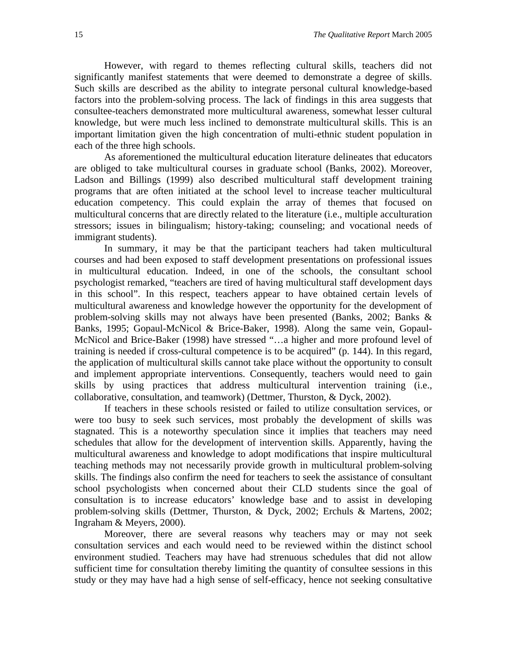However, with regard to themes reflecting cultural skills, teachers did not significantly manifest statements that were deemed to demonstrate a degree of skills. Such skills are described as the ability to integrate personal cultural knowledge-based factors into the problem-solving process. The lack of findings in this area suggests that consultee-teachers demonstrated more multicultural awareness, somewhat lesser cultural knowledge, but were much less inclined to demonstrate multicultural skills. This is an important limitation given the high concentration of multi-ethnic student population in each of the three high schools.

As aforementioned the multicultural education literature delineates that educators are obliged to take multicultural courses in graduate school (Banks, 2002). Moreover, Ladson and Billings (1999) also described multicultural staff development training programs that are often initiated at the school level to increase teacher multicultural education competency. This could explain the array of themes that focused on multicultural concerns that are directly related to the literature (i.e., multiple acculturation stressors; issues in bilingualism; history-taking; counseling; and vocational needs of immigrant students).

In summary, it may be that the participant teachers had taken multicultural courses and had been exposed to staff development presentations on professional issues in multicultural education. Indeed, in one of the schools, the consultant school psychologist remarked, "teachers are tired of having multicultural staff development days in this school". In this respect, teachers appear to have obtained certain levels of multicultural awareness and knowledge however the opportunity for the development of problem-solving skills may not always have been presented (Banks, 2002; Banks & Banks, 1995; Gopaul-McNicol & Brice-Baker, 1998). Along the same vein, Gopaul-McNicol and Brice-Baker (1998) have stressed "…a higher and more profound level of training is needed if cross-cultural competence is to be acquired" (p. 144). In this regard, the application of multicultural skills cannot take place without the opportunity to consult and implement appropriate interventions. Consequently, teachers would need to gain skills by using practices that address multicultural intervention training (i.e., collaborative, consultation, and teamwork) (Dettmer, Thurston, & Dyck, 2002).

If teachers in these schools resisted or failed to utilize consultation services, or were too busy to seek such services, most probably the development of skills was stagnated. This is a noteworthy speculation since it implies that teachers may need schedules that allow for the development of intervention skills. Apparently, having the multicultural awareness and knowledge to adopt modifications that inspire multicultural teaching methods may not necessarily provide growth in multicultural problem-solving skills. The findings also confirm the need for teachers to seek the assistance of consultant school psychologists when concerned about their CLD students since the goal of consultation is to increase educators' knowledge base and to assist in developing problem-solving skills (Dettmer, Thurston, & Dyck, 2002; Erchuls & Martens, 2002; Ingraham & Meyers, 2000).

Moreover, there are several reasons why teachers may or may not seek consultation services and each would need to be reviewed within the distinct school environment studied. Teachers may have had strenuous schedules that did not allow sufficient time for consultation thereby limiting the quantity of consultee sessions in this study or they may have had a high sense of self-efficacy, hence not seeking consultative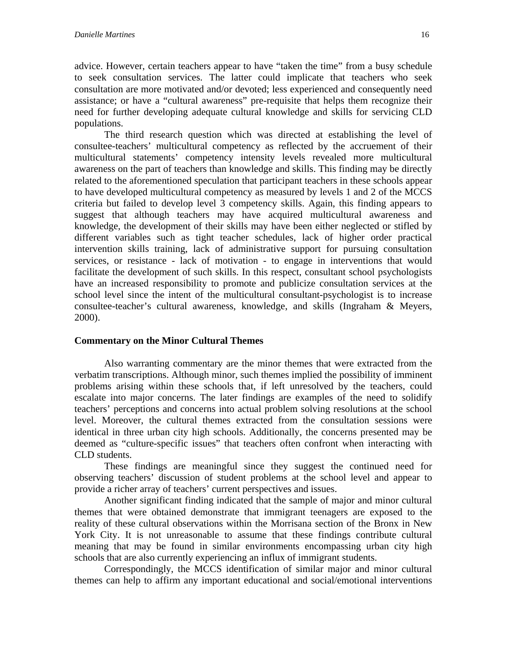advice. However, certain teachers appear to have "taken the time" from a busy schedule to seek consultation services. The latter could implicate that teachers who seek consultation are more motivated and/or devoted; less experienced and consequently need assistance; or have a "cultural awareness" pre-requisite that helps them recognize their need for further developing adequate cultural knowledge and skills for servicing CLD populations.

The third research question which was directed at establishing the level of consultee-teachers' multicultural competency as reflected by the accruement of their multicultural statements' competency intensity levels revealed more multicultural awareness on the part of teachers than knowledge and skills. This finding may be directly related to the aforementioned speculation that participant teachers in these schools appear to have developed multicultural competency as measured by levels 1 and 2 of the MCCS criteria but failed to develop level 3 competency skills. Again, this finding appears to suggest that although teachers may have acquired multicultural awareness and knowledge, the development of their skills may have been either neglected or stifled by different variables such as tight teacher schedules, lack of higher order practical intervention skills training, lack of administrative support for pursuing consultation services, or resistance - lack of motivation - to engage in interventions that would facilitate the development of such skills. In this respect, consultant school psychologists have an increased responsibility to promote and publicize consultation services at the school level since the intent of the multicultural consultant-psychologist is to increase consultee-teacher's cultural awareness, knowledge, and skills (Ingraham & Meyers, 2000).

#### **Commentary on the Minor Cultural Themes**

Also warranting commentary are the minor themes that were extracted from the verbatim transcriptions. Although minor, such themes implied the possibility of imminent problems arising within these schools that, if left unresolved by the teachers, could escalate into major concerns. The later findings are examples of the need to solidify teachers' perceptions and concerns into actual problem solving resolutions at the school level. Moreover, the cultural themes extracted from the consultation sessions were identical in three urban city high schools. Additionally, the concerns presented may be deemed as "culture-specific issues" that teachers often confront when interacting with CLD students.

These findings are meaningful since they suggest the continued need for observing teachers' discussion of student problems at the school level and appear to provide a richer array of teachers' current perspectives and issues.

Another significant finding indicated that the sample of major and minor cultural themes that were obtained demonstrate that immigrant teenagers are exposed to the reality of these cultural observations within the Morrisana section of the Bronx in New York City. It is not unreasonable to assume that these findings contribute cultural meaning that may be found in similar environments encompassing urban city high schools that are also currently experiencing an influx of immigrant students.

Correspondingly, the MCCS identification of similar major and minor cultural themes can help to affirm any important educational and social/emotional interventions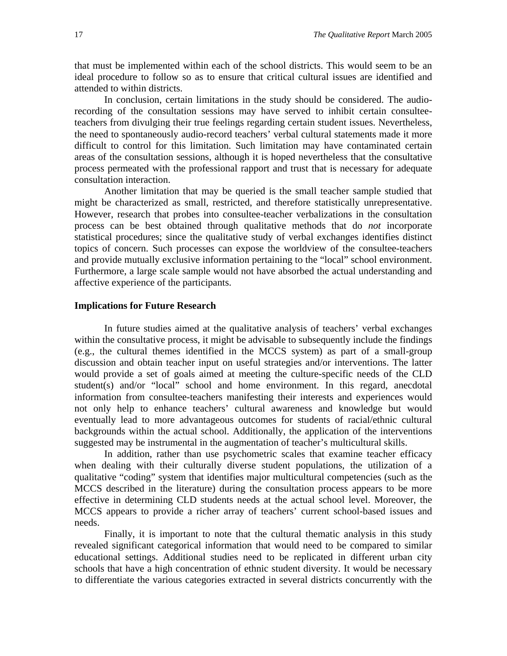that must be implemented within each of the school districts. This would seem to be an ideal procedure to follow so as to ensure that critical cultural issues are identified and attended to within districts.

In conclusion, certain limitations in the study should be considered. The audiorecording of the consultation sessions may have served to inhibit certain consulteeteachers from divulging their true feelings regarding certain student issues. Nevertheless, the need to spontaneously audio-record teachers' verbal cultural statements made it more difficult to control for this limitation. Such limitation may have contaminated certain areas of the consultation sessions, although it is hoped nevertheless that the consultative process permeated with the professional rapport and trust that is necessary for adequate consultation interaction.

Another limitation that may be queried is the small teacher sample studied that might be characterized as small, restricted, and therefore statistically unrepresentative. However, research that probes into consultee-teacher verbalizations in the consultation process can be best obtained through qualitative methods that do *not* incorporate statistical procedures; since the qualitative study of verbal exchanges identifies distinct topics of concern. Such processes can expose the worldview of the consultee-teachers and provide mutually exclusive information pertaining to the "local" school environment. Furthermore, a large scale sample would not have absorbed the actual understanding and affective experience of the participants.

#### **Implications for Future Research**

In future studies aimed at the qualitative analysis of teachers' verbal exchanges within the consultative process, it might be advisable to subsequently include the findings (e.g., the cultural themes identified in the MCCS system) as part of a small-group discussion and obtain teacher input on useful strategies and/or interventions. The latter would provide a set of goals aimed at meeting the culture-specific needs of the CLD student(s) and/or "local" school and home environment. In this regard, anecdotal information from consultee-teachers manifesting their interests and experiences would not only help to enhance teachers' cultural awareness and knowledge but would eventually lead to more advantageous outcomes for students of racial/ethnic cultural backgrounds within the actual school. Additionally, the application of the interventions suggested may be instrumental in the augmentation of teacher's multicultural skills.

In addition, rather than use psychometric scales that examine teacher efficacy when dealing with their culturally diverse student populations, the utilization of a qualitative "coding" system that identifies major multicultural competencies (such as the MCCS described in the literature) during the consultation process appears to be more effective in determining CLD students needs at the actual school level. Moreover, the MCCS appears to provide a richer array of teachers' current school-based issues and needs.

 Finally, it is important to note that the cultural thematic analysis in this study revealed significant categorical information that would need to be compared to similar educational settings. Additional studies need to be replicated in different urban city schools that have a high concentration of ethnic student diversity. It would be necessary to differentiate the various categories extracted in several districts concurrently with the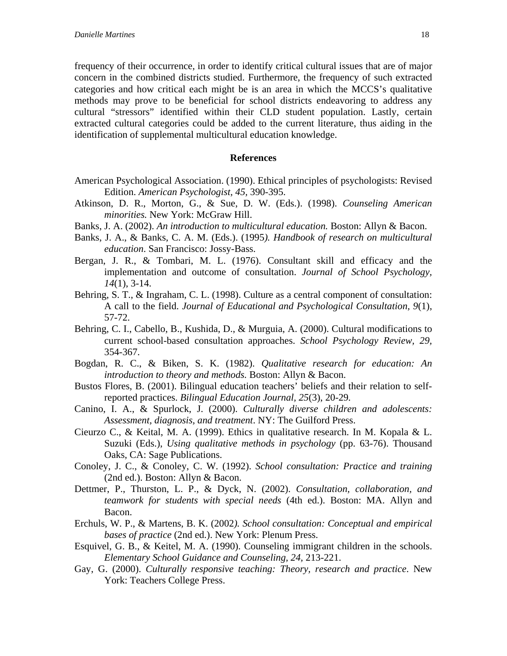frequency of their occurrence, in order to identify critical cultural issues that are of major concern in the combined districts studied. Furthermore, the frequency of such extracted categories and how critical each might be is an area in which the MCCS's qualitative methods may prove to be beneficial for school districts endeavoring to address any cultural "stressors" identified within their CLD student population. Lastly, certain extracted cultural categories could be added to the current literature, thus aiding in the identification of supplemental multicultural education knowledge.

#### **References**

- American Psychological Association. (1990). Ethical principles of psychologists: Revised Edition. *American Psychologist, 45,* 390-395.
- Atkinson, D. R., Morton, G., & Sue, D. W. (Eds.). (1998). *Counseling American minorities.* New York: McGraw Hill.
- Banks, J. A. (2002). *An introduction to multicultural education.* Boston: Allyn & Bacon.
- Banks, J. A., & Banks, C. A. M. (Eds.). (1995*). Handbook of research on multicultural education*. San Francisco: Jossy-Bass.
- Bergan, J. R., & Tombari, M. L. (1976). Consultant skill and efficacy and the implementation and outcome of consultation. *Journal of School Psychology, 14*(1), 3-14.
- Behring, S. T., & Ingraham, C. L. (1998). Culture as a central component of consultation: A call to the field. *Journal of Educational and Psychological Consultation, 9*(1), 57-72.
- Behring, C. I., Cabello, B., Kushida, D., & Murguia, A. (2000). Cultural modifications to current school-based consultation approaches. *School Psychology Review, 29,*  354-367.
- Bogdan, R. C., & Biken, S. K. (1982). *Qualitative research for education: An introduction to theory and methods.* Boston: Allyn & Bacon.
- Bustos Flores, B. (2001). Bilingual education teachers' beliefs and their relation to selfreported practices. *Bilingual Education Journal, 25*(3), 20-29*.*
- Canino, I. A., & Spurlock, J. (2000). *Culturally diverse children and adolescents: Assessment, diagnosis, and treatment*. NY: The Guilford Press.
- Cieurzo C., & Keital, M. A. (1999). Ethics in qualitative research. In M. Kopala & L. Suzuki (Eds.), *Using qualitative methods in psychology* (pp. 63-76). Thousand Oaks, CA: Sage Publications.
- Conoley, J. C., & Conoley, C. W. (1992). *School consultation: Practice and training*  (2nd ed.). Boston: Allyn & Bacon.
- Dettmer, P., Thurston, L. P., & Dyck, N. (2002). *Consultation, collaboration, and teamwork for students with special needs* (4th ed.). Boston: MA. Allyn and Bacon.
- Erchuls, W. P., & Martens, B. K. (2002*). School consultation: Conceptual and empirical bases of practice* (2nd ed.). New York: Plenum Press.
- Esquivel, G. B., & Keitel, M. A. (1990). Counseling immigrant children in the schools. *Elementary School Guidance and Counseling, 24,* 213-221.
- Gay, G. (2000). *Culturally responsive teaching: Theory, research and practice*. New York: Teachers College Press.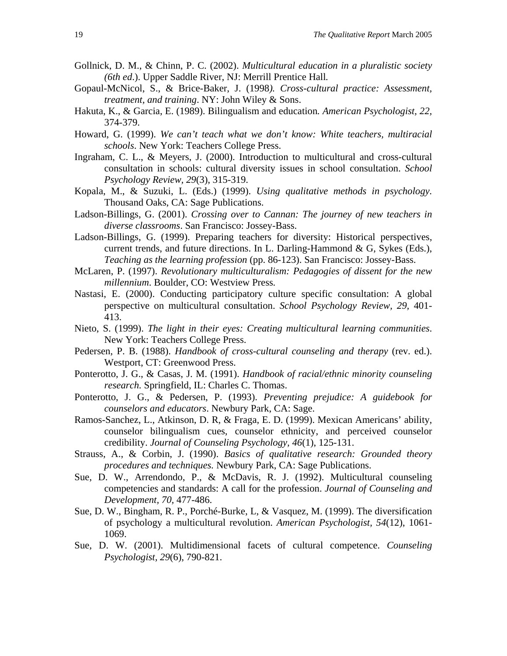- Gollnick, D. M., & Chinn, P. C. (2002). *Multicultural education in a pluralistic society (6th ed*.). Upper Saddle River, NJ: Merrill Prentice Hall*.*
- Gopaul-McNicol, S., & Brice-Baker, J. (1998*). Cross-cultural practice: Assessment, treatment, and training*. NY: John Wiley & Sons.
- Hakuta, K., & Garcia, E. (1989). Bilingualism and education*. American Psychologist, 22,*  374-379.
- Howard, G. (1999). *We can't teach what we don't know: White teachers, multiracial schools*. New York: Teachers College Press.
- Ingraham, C. L., & Meyers, J. (2000). Introduction to multicultural and cross-cultural consultation in schools: cultural diversity issues in school consultation. *School Psychology Review, 29*(3), 315-319.
- Kopala, M., & Suzuki, L. (Eds.) (1999). *Using qualitative methods in psychology.*  Thousand Oaks, CA: Sage Publications.
- Ladson-Billings, G. (2001). *Crossing over to Cannan: The journey of new teachers in diverse classrooms*. San Francisco: Jossey-Bass.
- Ladson-Billings, G. (1999). Preparing teachers for diversity: Historical perspectives, current trends, and future directions. In L. Darling-Hammond & G, Sykes (Eds.), *Teaching as the learning profession* (pp. 86-123). San Francisco: Jossey-Bass.
- McLaren, P. (1997). *Revolutionary multiculturalism: Pedagogies of dissent for the new millennium*. Boulder, CO: Westview Press*.*
- Nastasi, E. (2000). Conducting participatory culture specific consultation: A global perspective on multicultural consultation. *School Psychology Review, 29,* 401- 413.
- Nieto, S. (1999). *The light in their eyes: Creating multicultural learning communities*. New York: Teachers College Press.
- Pedersen, P. B. (1988). *Handbook of cross-cultural counseling and therapy* (rev. ed.). Westport, CT: Greenwood Press.
- Ponterotto, J. G., & Casas, J. M. (1991). *Handbook of racial/ethnic minority counseling research.* Springfield, IL: Charles C. Thomas.
- Ponterotto, J. G., & Pedersen, P. (1993). *Preventing prejudice: A guidebook for counselors and educators*. Newbury Park, CA: Sage.
- Ramos-Sanchez, L., Atkinson, D. R, & Fraga, E. D. (1999). Mexican Americans' ability, counselor bilingualism cues, counselor ethnicity, and perceived counselor credibility. *Journal of Counseling Psychology, 46*(1), 125-131.
- Strauss, A., & Corbin, J. (1990). *Basics of qualitative research: Grounded theory procedures and techniques.* Newbury Park, CA: Sage Publications.
- Sue, D. W., Arrendondo, P., & McDavis, R. J. (1992). Multicultural counseling competencies and standards: A call for the profession. *Journal of Counseling and Development, 70,* 477-486.
- Sue, D. W., Bingham, R. P., Porché-Burke, L, & Vasquez, M. (1999). The diversification of psychology a multicultural revolution. *American Psychologist, 54*(12), 1061- 1069.
- Sue, D. W. (2001). Multidimensional facets of cultural competence. *Counseling Psychologist, 29*(6), 790-821.